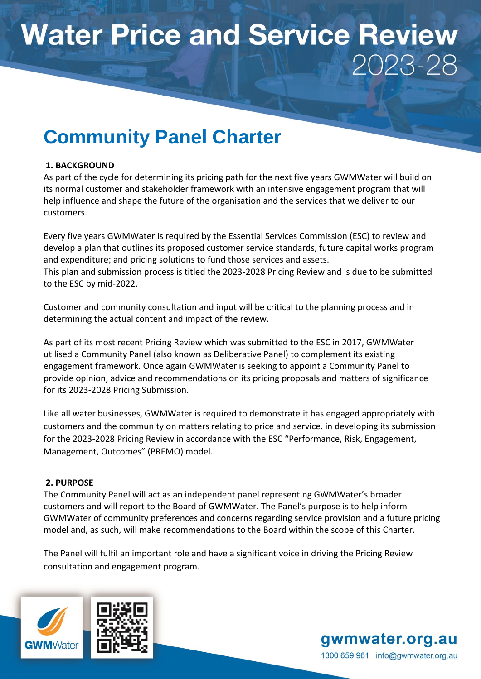# **Water Price and Service Review** 2023-28

# **Community Panel Charter**

## **1. BACKGROUND**

As part of the cycle for determining its pricing path for the next five years GWMWater will build on its normal customer and stakeholder framework with an intensive engagement program that will help influence and shape the future of the organisation and the services that we deliver to our customers.

Every five years GWMWater is required by the Essential Services Commission (ESC) to review and develop a plan that outlines its proposed customer service standards, future capital works program and expenditure; and pricing solutions to fund those services and assets. This plan and submission process is titled the 2023-2028 Pricing Review and is due to be submitted to the ESC by mid-2022.

Customer and community consultation and input will be critical to the planning process and in determining the actual content and impact of the review.

As part of its most recent Pricing Review which was submitted to the ESC in 2017, GWMWater utilised a Community Panel (also known as Deliberative Panel) to complement its existing engagement framework. Once again GWMWater is seeking to appoint a Community Panel to provide opinion, advice and recommendations on its pricing proposals and matters of significance for its 2023-2028 Pricing Submission.

Like all water businesses, GWMWater is required to demonstrate it has engaged appropriately with customers and the community on matters relating to price and service. in developing its submission for the 2023-2028 Pricing Review in accordance with the ESC "Performance, Risk, Engagement, Management, Outcomes" (PREMO) model.

## **2. PURPOSE**

The Community Panel will act as an independent panel representing GWMWater's broader customers and will report to the Board of GWMWater. The Panel's purpose is to help inform GWMWater of community preferences and concerns regarding service provision and a future pricing model and, as such, will make recommendations to the Board within the scope of this Charter.

The Panel will fulfil an important role and have a significant voice in driving the Pricing Review consultation and engagement program.



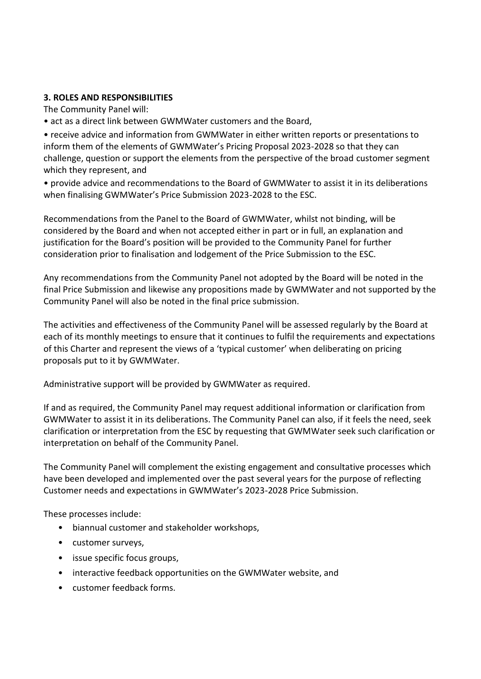#### **3. ROLES AND RESPONSIBILITIES**

The Community Panel will:

• act as a direct link between GWMWater customers and the Board,

• receive advice and information from GWMWater in either written reports or presentations to inform them of the elements of GWMWater's Pricing Proposal 2023-2028 so that they can challenge, question or support the elements from the perspective of the broad customer segment which they represent, and

• provide advice and recommendations to the Board of GWMWater to assist it in its deliberations when finalising GWMWater's Price Submission 2023-2028 to the ESC.

Recommendations from the Panel to the Board of GWMWater, whilst not binding, will be considered by the Board and when not accepted either in part or in full, an explanation and justification for the Board's position will be provided to the Community Panel for further consideration prior to finalisation and lodgement of the Price Submission to the ESC.

Any recommendations from the Community Panel not adopted by the Board will be noted in the final Price Submission and likewise any propositions made by GWMWater and not supported by the Community Panel will also be noted in the final price submission.

The activities and effectiveness of the Community Panel will be assessed regularly by the Board at each of its monthly meetings to ensure that it continues to fulfil the requirements and expectations of this Charter and represent the views of a 'typical customer' when deliberating on pricing proposals put to it by GWMWater.

Administrative support will be provided by GWMWater as required.

If and as required, the Community Panel may request additional information or clarification from GWMWater to assist it in its deliberations. The Community Panel can also, if it feels the need, seek clarification or interpretation from the ESC by requesting that GWMWater seek such clarification or interpretation on behalf of the Community Panel.

The Community Panel will complement the existing engagement and consultative processes which have been developed and implemented over the past several years for the purpose of reflecting Customer needs and expectations in GWMWater's 2023-2028 Price Submission.

These processes include:

- biannual customer and stakeholder workshops,
- customer surveys,
- issue specific focus groups,
- interactive feedback opportunities on the GWMWater website, and
- customer feedback forms.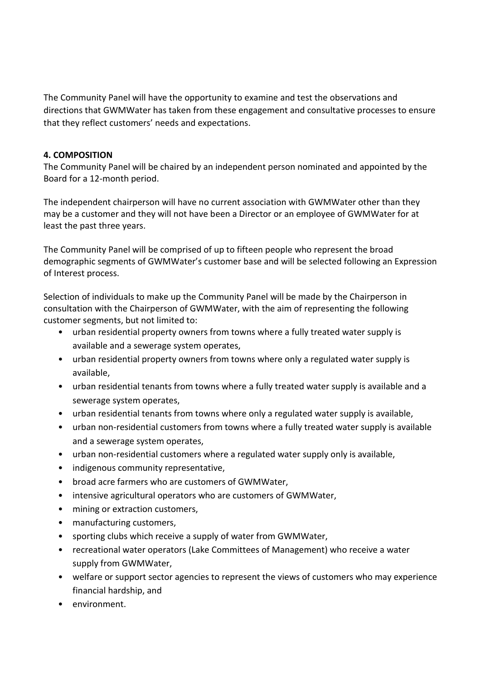The Community Panel will have the opportunity to examine and test the observations and directions that GWMWater has taken from these engagement and consultative processes to ensure that they reflect customers' needs and expectations.

#### **4. COMPOSITION**

The Community Panel will be chaired by an independent person nominated and appointed by the Board for a 12-month period.

The independent chairperson will have no current association with GWMWater other than they may be a customer and they will not have been a Director or an employee of GWMWater for at least the past three years.

The Community Panel will be comprised of up to fifteen people who represent the broad demographic segments of GWMWater's customer base and will be selected following an Expression of Interest process.

Selection of individuals to make up the Community Panel will be made by the Chairperson in consultation with the Chairperson of GWMWater, with the aim of representing the following customer segments, but not limited to:

- urban residential property owners from towns where a fully treated water supply is available and a sewerage system operates,
- urban residential property owners from towns where only a regulated water supply is available,
- urban residential tenants from towns where a fully treated water supply is available and a sewerage system operates,
- urban residential tenants from towns where only a regulated water supply is available,
- urban non-residential customers from towns where a fully treated water supply is available and a sewerage system operates,
- urban non-residential customers where a regulated water supply only is available,
- indigenous community representative,
- broad acre farmers who are customers of GWMWater,
- intensive agricultural operators who are customers of GWMWater,
- mining or extraction customers,
- manufacturing customers,
- sporting clubs which receive a supply of water from GWMWater,
- recreational water operators (Lake Committees of Management) who receive a water supply from GWMWater,
- welfare or support sector agencies to represent the views of customers who may experience financial hardship, and
- environment.